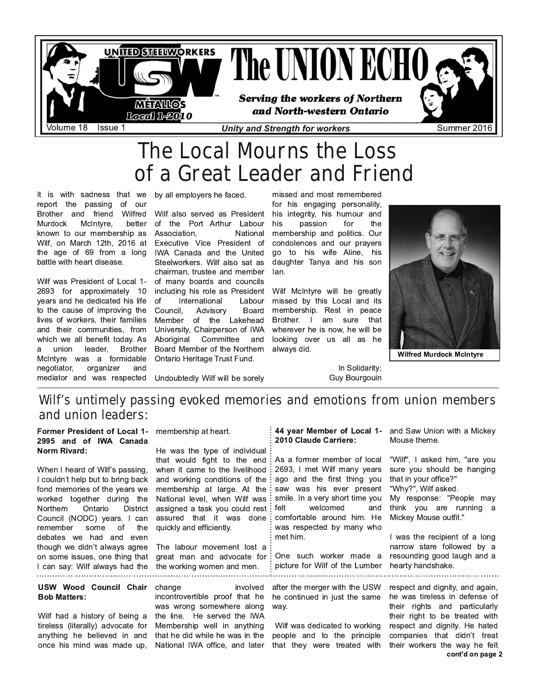

# The Local Mourns the Loss of a Great Leader and Friend

It is with sadness that we by all employers he faced. report the passing of our Brother and friend Wilfred Wilf also served as President Murdock McIntyre, known to our membership as Wilf. on March 12th. 2016 at the age of 69 from a long battle with heart disease.

Wilf was President of Local 1-2693 for approximately 10 vears and he dedicated his life to the cause of improving the lives of workers, their families and their communities, from which we all benefit today. As leader, union **Brother** a McIntyre was a formidable negotiator, organizer and mediator and was respected

better of the Port Arthur Labour Association. National Executive Vice President of IWA Canada and the United Steelworkers. Wilf also sat as chairman, trustee and member of many boards and councils including his role as President of International Labour Council. Advisory Board Member of the Lakehead University, Chairperson of IWA Committee Aboriginal and Board Member of the Northern Ontario Heritage Trust Fund.

Undoubtedly Wilf will be sorely

missed and most remembered

for his engaging personality, his integrity, his humour and passion for the his membership and politics. Our condolences and our pravers go to his wife Aline, his daughter Tanya and his son lan.

Wilf McIntyre will be greatly missed by this Local and its membership. Rest in peace Brother. I am sure that wherever he is now, he will be looking over us all as he always did.

In Solidarity:

**Guy Bourgouin** 

**Wilfred Murdock McIntvre** 

## Wilf's untimely passing evoked memories and emotions from union members and union leaders:

### Former President of Local 1- membership at heart. 2995 and of IWA Canada Norm Rivard:

When I heard of Wilf's passing, I couldn't help but to bring back fond memories of the years we worked together during the Northern Ontario District Council (NODC) vears. I can some of remember the debates we had and even though we didn't always agree on some issues, one thing that I can say: Wilf always had the

### USW Wood Council Chair **Bob Matters:**

Wilf had a history of being a tireless (literally) advocate for anything he believed in and once his mind was made up,

He was the type of individual that would fight to the end: when it came to the livelihood and working conditions of the membership at large. At the National level, when Wilf was assigned a task you could rest assured that it was done quickly and efficiently.

The labour movement lost a great man and advocate for the working women and men. 

> change involved incontrovertible proof that he was wrong somewhere along the line. He served the IWA Membership well in anything that he did while he was in the National IWA office, and later

### 44 vear Member of Local 1- and Saw Union with a Mickey 2010 Claude Carriere:

As a former member of low 2693, I met Wilf many yea ago and the first thing y saw was his ever prese smile. In a very short time y welcomed felt  $\overline{a}$ comfortable around him. was respected by many w met him.

One such worker made picture for Wilf of the Lumb 

after the merger with the US he continued in just the sar way.

Wilf was dedicated to worki people and to the princip that they were treated with their workers the way he felt

Mouse theme.

| cal | "Wilf", I asked him, "are you   |
|-----|---------------------------------|
| ars | sure you should be hanging      |
| 'OU | that in your office?"           |
| ent | "Why?", Wilf asked.             |
| 'Ou | My response: "People may        |
| ınd | think you are running<br>a      |
| He  | Mickey Mouse outfit."           |
| 'ho |                                 |
|     | I was the recipient of a long   |
|     | narrow stare followed by a      |
| - a | resounding good laugh and a     |
| ber | hearty handshake.               |
|     |                                 |
| :W  | respect and dignity, and again, |
|     |                                 |
| ne  | he was tireless in defense of   |
|     | their rights and particularly   |
|     | their right to be treated with  |
| ng  | respect and dignity. He hated   |
| эle | companies that didn't treat     |
| ith | their workers the way he felt   |

cont'd on page 2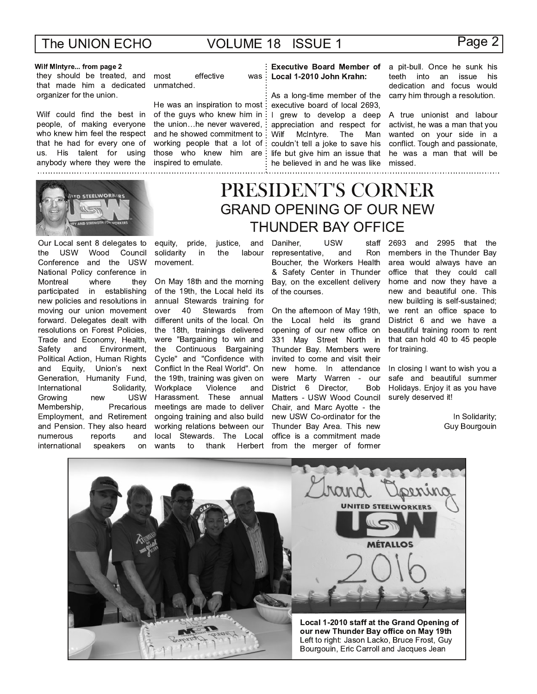## **VOLUME 18 ISSUE 1**

was

### Page 2

### Wilf MIntyre... from page 2

they should be treated, and that made him a dedicated organizer for the union.

Wilf could find the best in people, of making everyone who knew him feel the respect that he had for every one of us. His talent for using anybody where they were the inspired to emulate. 



Our Local sent 8 delegates to **USW** Wood Council the Conference and the USW National Policy conference in Montreal where they participated in establishing new policies and resolutions in moving our union movement forward. Delegates dealt with resolutions on Forest Policies, Trade and Economy, Health, and Environment. Safety Political Action, Human Rights and Equity, Union's next Generation, Humanity Fund, International Solidarity, Growing **USW** new Membership. Precarious Employment, and Retirement and Pension. They also heard numerous reports and international speakers on

most effective unmatched.

He was an inspiration to most : of the guys who knew him in the union...he never wavered, and he showed commitment to working people that a lot of: those who knew him are:

## Local 1-2010 John Krahn:

As a long-time member of the executive board of local 2693, I grew to develop a deep appreciation and respect for Wilf McIntyre. The Man couldn't tell a joke to save his life but give him an issue that he believed in and he was like missed. 

Executive Board Member of a pit-bull. Once he sunk his teeth into an issue his dedication and focus would carry him through a resolution.

> A true unionist and labour activist, he was a man that you wanted on your side in a conflict. Tough and passionate, he was a man that will be

## PRESIDENT'S CORNER **GRAND OPENING OF OUR NEW THUNDER BAY OFFICE**

equity, pride, justice, and solidarity labour in the movement.

On May 18th and the morning of the 19th, the Local held its annual Stewards training for over 40 Stewards from different units of the local. On the 18th, trainings delivered were "Bargaining to win and the Continuous Bargaining Cycle" and "Confidence with Conflict In the Real World". On the 19th, training was given on Violence Workplace and Harassment. These annual meetings are made to deliver ongoing training and also build working relations between our local Stewards. The Local wants to thank Herbert

#### Daniher. **USW** staff representative, and Ron Boucher, the Workers Health & Safety Center in Thunder Bay, on the excellent delivery of the courses.

On the afternoon of May 19th, the Local held its grand opening of our new office on 331 May Street North in Thunder Bay. Members were invited to come and visit their new home. In attendance were Marty Warren - our District 6 Director, **Bob** Matters - USW Wood Council Chair, and Marc Avotte - the new USW Co-ordinator for the Thunder Bay Area. This new office is a commitment made from the merger of former

2693 and 2995 that the members in the Thunder Bay area would always have an office that they could call home and now they have a new and beautiful one. This new building is self-sustained; we rent an office space to District 6 and we have a beautiful training room to rent that can hold 40 to 45 people for training.

In closing I want to wish you a safe and beautiful summer Holidays. Enjoy it as you have surely deserved it!

> In Solidarity: Guy Bourgouin

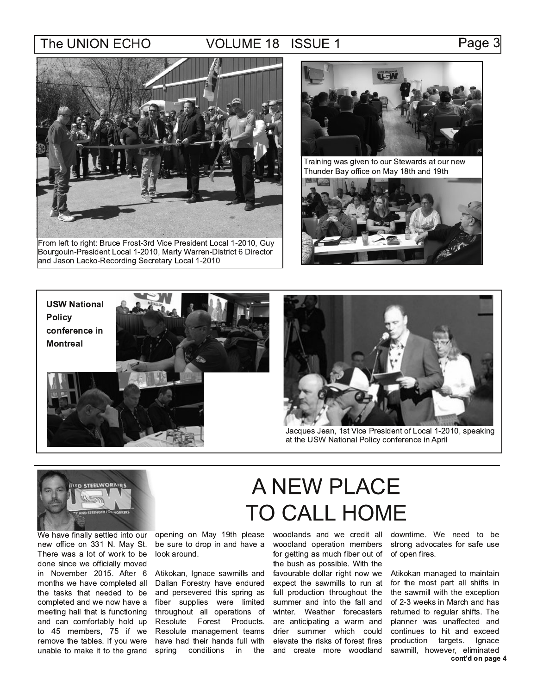## **VOLUME 18 ISSUE 1**

From left to right: Bruce Frost-3rd Vice President Local 1-2010, Guy Bourgouin-President Local 1-2010, Marty Warren-District 6 Director and Jason Lacko-Recording Secretary Local 1-2010



Training was given to our Stewards at our new Thunder Bay office on May 18th and 19th









Jacques Jean, 1st Vice President of Local 1-2010, speaking at the USW National Policy conference in April



We have finally settled into our new office on 331 N. May St. There was a lot of work to be done since we officially moved in November 2015. After 6 months we have completed all the tasks that needed to be completed and we now have a meeting hall that is functioning and can comfortably hold up to 45 members, 75 if we remove the tables. If you were unable to make it to the grand

opening on May 19th please be sure to drop in and have a look around.

Atikokan, Ignace sawmills and Dallan Forestry have endured and persevered this spring as fiber supplies were limited throughout all operations of Resolute Forest Products. Resolute management teams have had their hands full with spring conditions in the

# A NEW PLACE **TO CALL HOME**

woodlands and we credit all woodland operation members for getting as much fiber out of the bush as possible. With the favourable dollar right now we expect the sawmills to run at full production throughout the summer and into the fall and winter. Weather forecasters are anticipating a warm and drier summer which could elevate the risks of forest fires and create more woodland

downtime. We need to be strong advocates for safe use of open fires.

Atikokan managed to maintain for the most part all shifts in the sawmill with the exception of 2-3 weeks in March and has returned to regular shifts. The planner was unaffected and continues to hit and exceed production targets. Ignace sawmill, however, eliminated cont'd on page 4

### Page 3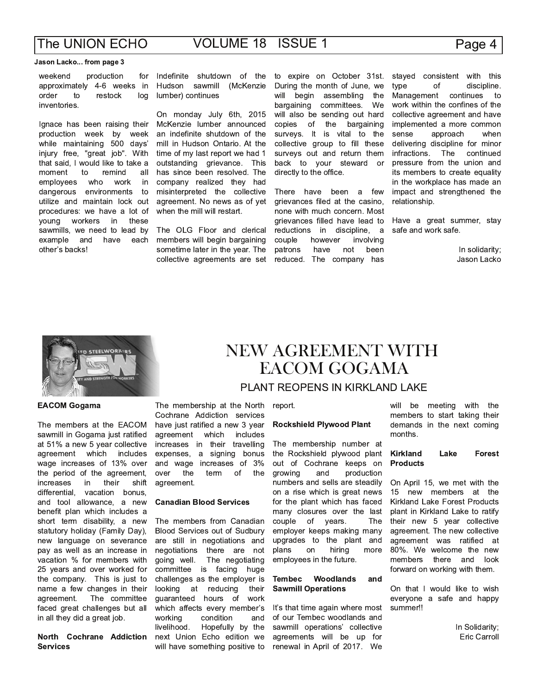## Page 4

### Jason Lacko... from page 3

weekend production for approximately 4-6 weeks in order restock  $t_{\Omega}$ log inventories.

Ignace has been raising their production week by week while maintaining 500 davs' injury free, "great job". With that said, I would like to take a moment to remind all employees who work in dangerous environments to utilize and maintain lock out procedures: we have a lot of young workers in these sawmills, we need to lead by example and have each other's backs!

Indefinite shutdown of the Hudson sawmill (McKenzie lumber) continues

On monday July 6th, 2015 McKenzie lumber announced an indefinite shutdown of the mill in Hudson Ontario. At the time of my last report we had 1 outstanding grievance. This has since been resolved. The company realized they had misinterpreted the collective agreement. No news as of yet when the mill will restart.

The OLG Floor and clerical members will begin bargaining sometime later in the year. The collective agreements are set

to expire on October 31st. During the month of June, we will begin assembling the bargaining committees. We will also be sending out hard copies of the bargaining surveys. It is vital to the collective group to fill these surveys out and return them back to your steward or directly to the office.

There have been a few grievances filed at the casino. none with much concern. Most grievances filled have lead to reductions in discipline, a couple however involving patrons have not been reduced. The company has

stayed consistent with this discipline. type  $\Omega$ Management continues  $t_{\Omega}$ work within the confines of the collective agreement and have implemented a more common sense approach when delivering discipline for minor infractions. The continued pressure from the union and its members to create equality in the workplace has made an impact and strengthened the relationship.

Have a great summer, stay safe and work safe.

> In solidarity; Jason Lacko



### **EACOM Gogama**

The members at the EACOM sawmill in Gogama just ratified at 51% a new 5 year collective agreement which includes wage increases of 13% over the period of the agreement, increases in their shift differential, vacation bonus, and tool allowance, a new benefit plan which includes a short term disability, a new statutory holiday (Family Day), new language on severance pay as well as an increase in vacation % for members with 25 years and over worked for the company. This is just to name a few changes in their The committee agreement. faced great challenges but all in all they did a great job.

### North Cochrane Addiction **Services**

## NEW AGREEMENT WITH EACOM GOGAMA

### PLANT REOPENS IN KIRKLAND LAKE

The membership at the North Cochrane Addiction services have just ratified a new 3 year agreement which includes increases in their travelling expenses, a signing bonus and wage increases of 3% the of the over term agreement.

### **Canadian Blood Services**

The members from Canadian Blood Services out of Sudbury are still in negotiations and negotiations there are not going well. The negotiating huge committee is facing challenges as the employer is looking at reducing their guaranteed hours of work which affects every member's working condition and livelihood. Hopefully by the next Union Echo edition we will have something positive to

report.

### **Rockshield Plywood Plant**

The membership number at the Rockshield plywood plant out of Cochrane keeps on production growing and numbers and sells are steadily on a rise which is great news for the plant which has faced many closures over the last couple  $of$ years. The employer keeps making many upgrades to the plant and plans on hiring more employees in the future.

#### Woodlands **Tembec** and **Sawmill Operations**

It's that time again where most of our Tembec woodlands and sawmill operations' collective agreements will be up for renewal in April of 2017. We

will be meeting with the members to start taking their demands in the next coming months.

#### **Kirkland** Lake **Forest Products**

On April 15, we met with the 15 new members at the Kirkland Lake Forest Products plant in Kirkland Lake to ratify their new 5 year collective agreement. The new collective agreement was ratified at 80%. We welcome the new members there and look forward on working with them.

On that I would like to wish everyone a safe and happy summer!!

> In Solidarity; Eric Carroll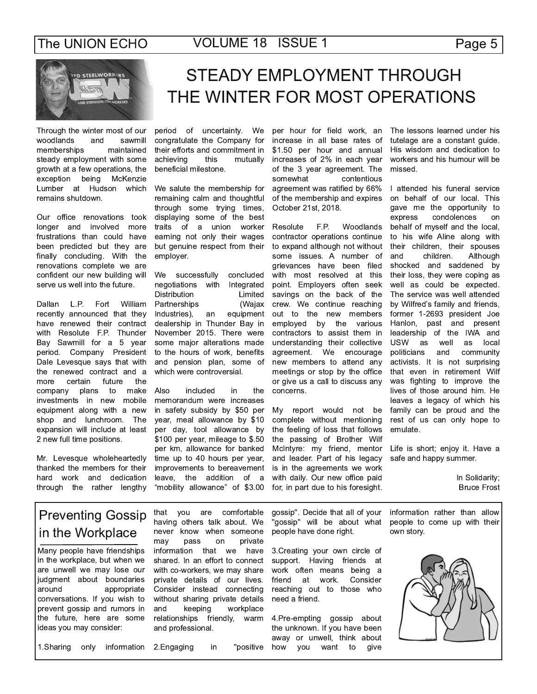

## **STEADY EMPLOYMENT THROUGH** THE WINTER FOR MOST OPERATIONS

Through the winter most of our and woodlands sawmill memberships maintained steady employment with some growth at a few operations, the exception being McKenzie Lumber at Hudson which remains shutdown.

Our office renovations took longer and involved more frustrations than could have been predicted but they are finally concluding. With the renovations complete we are confident our new building will serve us well into the future.

Dallan L.P. Fort William recently announced that they have renewed their contract with Resolute F.P. Thunder Bay Sawmill for a 5 year period. Company President Dale Levesque says that with the renewed contract and a more certain future the company plans make to investments in new mobile equipment along with a new shop and lunchroom. The expansion will include at least 2 new full time positions.

Mr. Levesque wholeheartedly thanked the members for their hard work and dedication through the rather lengthy

period of uncertainty. We congratulate the Company for their efforts and commitment in achieving this mutually beneficial milestone.

We salute the membership for remaining calm and thoughtful through some trying times, displaying some of the best traits of a union worker earning not only their wages but genuine respect from their employer.

We successfully concluded negotiations with Integrated **Distribution** Limited Partnerships (Wajax Industries), an equipment dealership in Thunder Bay in November 2015. There were some major alterations made to the hours of work, benefits and pension plan, some of which were controversial.

Also included in the memorandum were increases in safety subsidy by \$50 per year, meal allowance by \$10 per day, tool allowance by \$100 per year, mileage to \$.50 per km, allowance for banked time up to 40 hours per year, improvements to bereavement leave, the addition of a "mobility allowance" of \$3.00

per hour for field work, an increase in all base rates of \$1.50 per hour and annual increases of 2% in each year of the 3 year agreement. The somewhat contentious agreement was ratified by 66% of the membership and expires October 21st, 2018.

F.P. Woodlands Resolute contractor operations continue to expand although not without some issues. A number of grievances have been filed with most resolved at this point. Employers often seek savings on the back of the crew. We continue reaching out to the new members employed by the various contractors to assist them in understanding their collective agreement. We encourage new members to attend any meetings or stop by the office or give us a call to discuss any concerns.

My report would not be complete without mentioning the feeling of loss that follows the passing of Brother Wilf McIntyre: my friend, mentor and leader. Part of his legacy is in the agreements we work with daily. Our new office paid for, in part due to his foresight.

The lessons learned under his tutelage are a constant guide. His wisdom and dedication to workers and his humour will be missed.

I attended his funeral service on behalf of our local. This gave me the opportunity to express condolences on behalf of myself and the local, to his wife Aline along with their children, their spouses and children. Although shocked and saddened by their loss, they were coping as well as could be expected. The service was well attended by Wilfred's family and friends, former 1-2693 president Joe Hanlon, past and present leadership of the IWA and **USW** as well as local politicians and community activists. It is not surprising that even in retirement Wilf was fighting to improve the lives of those around him. He leaves a legacy of which his family can be proud and the rest of us can only hope to emulate.

Life is short; enjoy it. Have a safe and happy summer.

> In Solidarity; **Bruce Frost**

## **Preventing Gossip** in the Workplace

Many people have friendships in the workplace, but when we are unwell we may lose our judgment about boundaries around appropriate conversations. If you wish to prevent gossip and rumors in the future, here are some ideas you may consider:

that you are comfortable having others talk about. We never know when someone may pass on private information that we have shared. In an effort to connect with co-workers, we may share private details of our lives. Consider instead connecting without sharing private details keeping and workplace relationships friendly, warm and professional.

gossip". Decide that all of your "gossip" will be about what people have done right.

3. Creating your own circle of support. Having friends at work often means being a friend at work. Consider reaching out to those who need a friend.

4. Pre-empting gossip about the unknown. If you have been away or unwell, think about how you want to give

information rather than allow people to come up with their own story.



1. Sharing only information 2. Engaging

in "positive